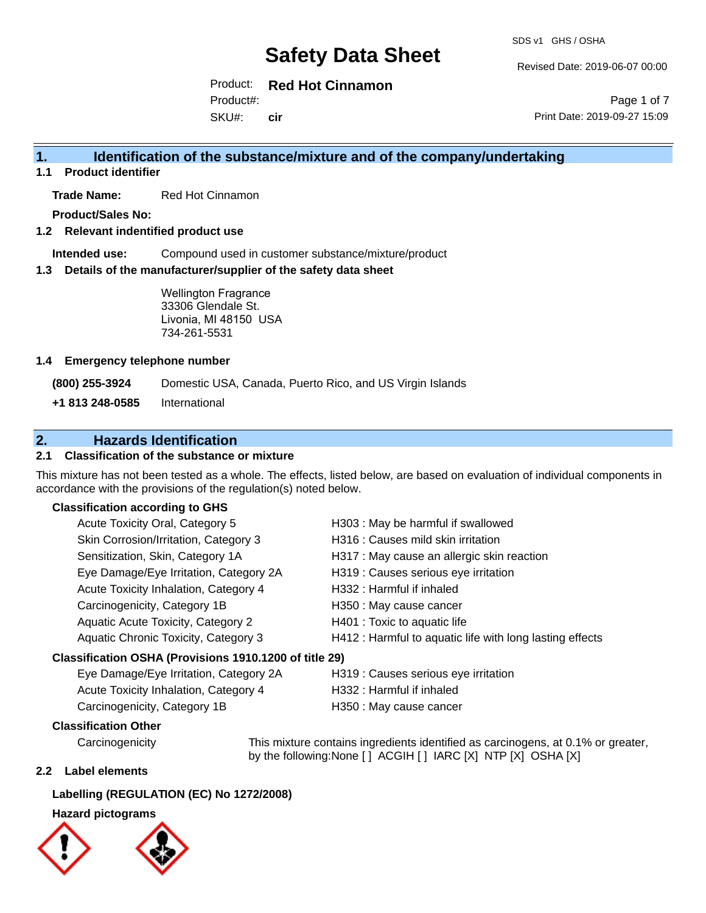Revised Date: 2019-06-07 00:00

Product: **Red Hot Cinnamon**

SKU#: Product#: **cir**

Page 1 of 7 Print Date: 2019-09-27 15:09

# **1. Identification of the substance/mixture and of the company/undertaking**

**1.1 Product identifier**

**Trade Name:** Red Hot Cinnamon

**Product/Sales No:**

#### **1.2 Relevant indentified product use**

**Intended use:** Compound used in customer substance/mixture/product

#### **1.3 Details of the manufacturer/supplier of the safety data sheet**

Wellington Fragrance 33306 Glendale St. Livonia, MI 48150 USA 734-261-5531

#### **1.4 Emergency telephone number**

**(800) 255-3924** Domestic USA, Canada, Puerto Rico, and US Virgin Islands

**+1 813 248-0585** International

# **2. Hazards Identification**

#### **2.1 Classification of the substance or mixture**

This mixture has not been tested as a whole. The effects, listed below, are based on evaluation of individual components in accordance with the provisions of the regulation(s) noted below.

#### **Classification according to GHS**

| Acute Toxicity Oral, Category 5                                          | H303 : May be harmful if swallowed                       |
|--------------------------------------------------------------------------|----------------------------------------------------------|
| Skin Corrosion/Irritation, Category 3                                    | H316 : Causes mild skin irritation                       |
| Sensitization, Skin, Category 1A                                         | H317 : May cause an allergic skin reaction               |
| Eye Damage/Eye Irritation, Category 2A                                   | H319 : Causes serious eye irritation                     |
| Acute Toxicity Inhalation, Category 4                                    | H332 : Harmful if inhaled                                |
| Carcinogenicity, Category 1B                                             | H350 : May cause cancer                                  |
| Aquatic Acute Toxicity, Category 2                                       | H401 : Toxic to aquatic life                             |
| Aquatic Chronic Toxicity, Category 3                                     | H412 : Harmful to aquatic life with long lasting effects |
| Classification OSHA (Provisions 1910.1200 of title 29)                   |                                                          |
| $E_{1/2}$ Damago/E <sub>1/2</sub> Irritation $C_{2}$ Catogory $2\Lambda$ | $\Box$ 210 $\cdot$ Couses serious eye irritation         |

| Eye Damage/Eye Irritation, Category 2A | H319 : Causes serious eye irritation |
|----------------------------------------|--------------------------------------|
| Acute Toxicity Inhalation, Category 4  | H332 : Harmful if inhaled            |
| Carcinogenicity, Category 1B           | H350 : May cause cancer              |

#### **Classification Other**

Carcinogenicity This mixture contains ingredients identified as carcinogens, at 0.1% or greater, by the following:None [ ] ACGIH [ ] IARC [X] NTP [X] OSHA [X]

#### **2.2 Label elements**

#### **Labelling (REGULATION (EC) No 1272/2008)**

#### **Hazard pictograms**



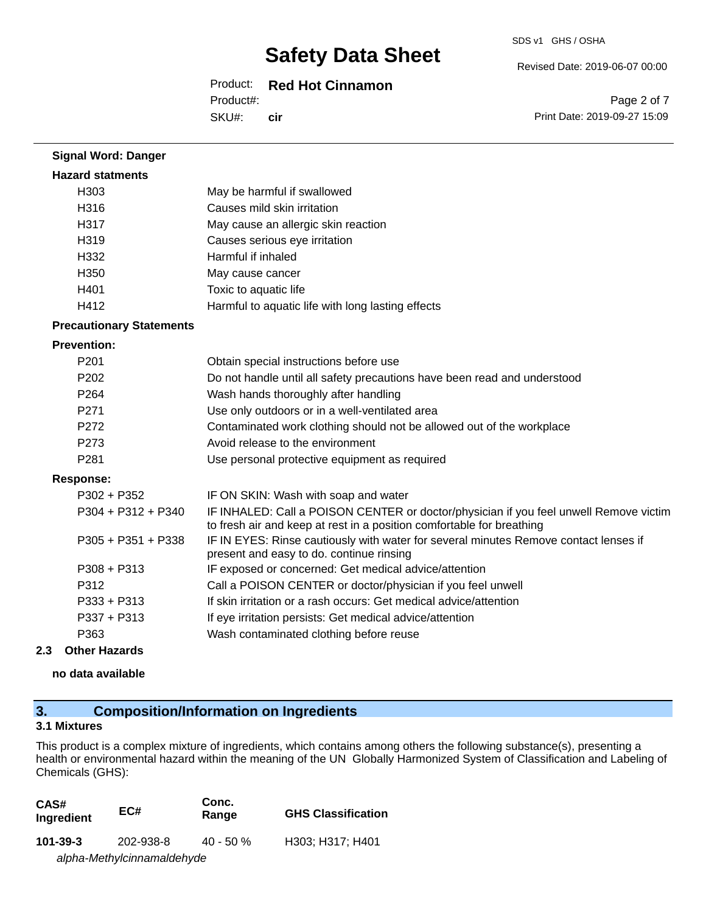#### Product: **Red Hot Cinnamon**

SKU#: Product#: **cir** Revised Date: 2019-06-07 00:00

SDS v1 GHS / OSHA

Page 2 of 7 Print Date: 2019-09-27 15:09

# **Hazard statments** H303 May be harmful if swallowed H316 Causes mild skin irritation H317 May cause an allergic skin reaction H319 Causes serious eye irritation H332 Harmful if inhaled H350 May cause cancer H401 Toxic to aquatic life H412 Harmful to aquatic life with long lasting effects

### **Precautionary Statements**

**Signal Word: Danger**

#### **Prevention:**

| P <sub>201</sub>     | Obtain special instructions before use                                                                                                                         |
|----------------------|----------------------------------------------------------------------------------------------------------------------------------------------------------------|
| P <sub>202</sub>     | Do not handle until all safety precautions have been read and understood                                                                                       |
| P <sub>264</sub>     | Wash hands thoroughly after handling                                                                                                                           |
| P <sub>271</sub>     | Use only outdoors or in a well-ventilated area                                                                                                                 |
| P <sub>272</sub>     | Contaminated work clothing should not be allowed out of the workplace                                                                                          |
| P <sub>273</sub>     | Avoid release to the environment                                                                                                                               |
| P <sub>281</sub>     | Use personal protective equipment as required                                                                                                                  |
| <b>Response:</b>     |                                                                                                                                                                |
| $P302 + P352$        | IF ON SKIN: Wash with soap and water                                                                                                                           |
| $P304 + P312 + P340$ | IF INHALED: Call a POISON CENTER or doctor/physician if you feel unwell Remove victim<br>to fresh air and keep at rest in a position comfortable for breathing |
| $P305 + P351 + P338$ | IF IN EYES: Rinse cautiously with water for several minutes Remove contact lenses if<br>present and easy to do. continue rinsing                               |
| $P308 + P313$        | IF exposed or concerned: Get medical advice/attention                                                                                                          |
|                      |                                                                                                                                                                |

| P312 | Call a POISON CENTER or doctor/physician if you feel unwell |  |
|------|-------------------------------------------------------------|--|
|      |                                                             |  |

- P333 + P313 If skin irritation or a rash occurs: Get medical advice/attention
- P337 + P313 If eye irritation persists: Get medical advice/attention

### P363 Wash contaminated clothing before reuse

#### **2.3 Other Hazards**

### **no data available**

### **3. Composition/Information on Ingredients**

#### **3.1 Mixtures**

This product is a complex mixture of ingredients, which contains among others the following substance(s), presenting a health or environmental hazard within the meaning of the UN Globally Harmonized System of Classification and Labeling of Chemicals (GHS):

| CAS#<br>Ingredient         | EC#       | Conc.<br>Range | <b>GHS Classification</b> |
|----------------------------|-----------|----------------|---------------------------|
| $101 - 39 - 3$             | 202-938-8 | $40 - 50 \%$   | H303: H317: H401          |
| alpha-Methylcinnamaldehyde |           |                |                           |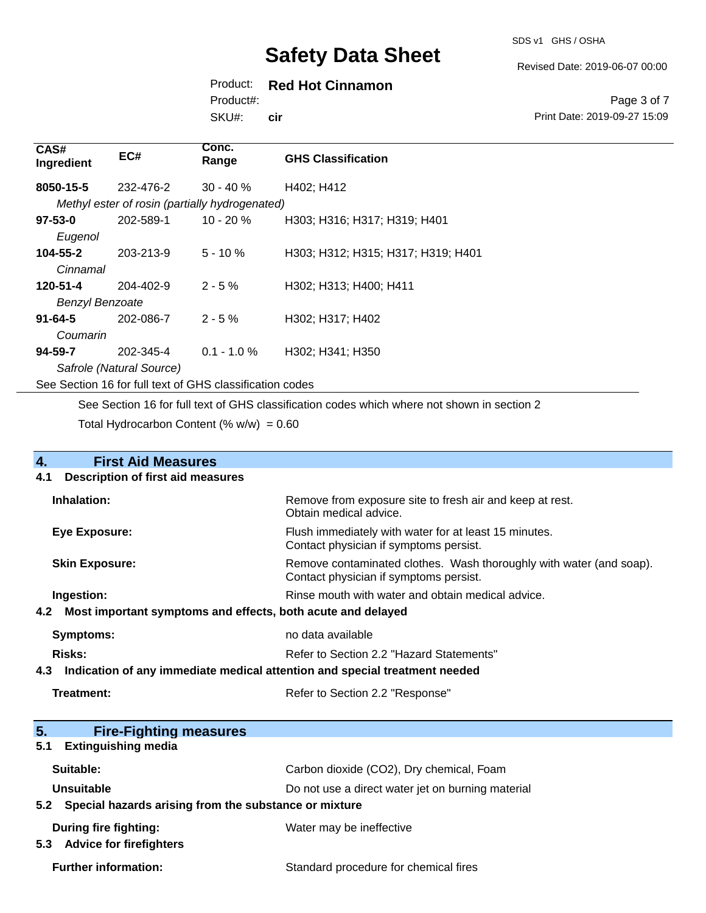SDS v1 GHS / OSHA

Revised Date: 2019-06-07 00:00

## Product: **Red Hot Cinnamon**

SKU#: Product#: **cir**

Page 3 of 7 Print Date: 2019-09-27 15:09

| CAS#<br>Ingredient     | EC#                      | Conc.<br>Range                                           | <b>GHS Classification</b>          |
|------------------------|--------------------------|----------------------------------------------------------|------------------------------------|
| 8050-15-5              | 232-476-2                | $30 - 40 \%$                                             | H402; H412                         |
|                        |                          | Methyl ester of rosin (partially hydrogenated)           |                                    |
| $97 - 53 - 0$          | 202-589-1                | $10 - 20 \%$                                             | H303; H316; H317; H319; H401       |
| Eugenol                |                          |                                                          |                                    |
| 104-55-2               | 203-213-9                | $5 - 10 \%$                                              | H303; H312; H315; H317; H319; H401 |
| Cinnamal               |                          |                                                          |                                    |
| 120-51-4               | 204-402-9                | $2 - 5%$                                                 | H302; H313; H400; H411             |
| <b>Benzyl Benzoate</b> |                          |                                                          |                                    |
| $91 - 64 - 5$          | 202-086-7                | $2 - 5%$                                                 | H302; H317; H402                   |
| Coumarin               |                          |                                                          |                                    |
| 94-59-7                | 202-345-4                | $0.1 - 1.0 \%$                                           | H302; H341; H350                   |
|                        | Safrole (Natural Source) |                                                          |                                    |
|                        |                          | See Section 16 for full text of GHS classification codes |                                    |

See Section 16 for full text of GHS classification codes which where not shown in section 2

Total Hydrocarbon Content (%  $w/w$ ) = 0.60

| 4.<br><b>First Aid Measures</b>                                                   |                                                                                                               |  |
|-----------------------------------------------------------------------------------|---------------------------------------------------------------------------------------------------------------|--|
| <b>Description of first aid measures</b><br>4.1                                   |                                                                                                               |  |
| Inhalation:                                                                       | Remove from exposure site to fresh air and keep at rest.<br>Obtain medical advice.                            |  |
| Eye Exposure:                                                                     | Flush immediately with water for at least 15 minutes.<br>Contact physician if symptoms persist.               |  |
| <b>Skin Exposure:</b>                                                             | Remove contaminated clothes. Wash thoroughly with water (and soap).<br>Contact physician if symptoms persist. |  |
| Ingestion:                                                                        | Rinse mouth with water and obtain medical advice.                                                             |  |
| Most important symptoms and effects, both acute and delayed<br>4.2                |                                                                                                               |  |
| <b>Symptoms:</b>                                                                  | no data available                                                                                             |  |
| Risks:                                                                            | Refer to Section 2.2 "Hazard Statements"                                                                      |  |
| Indication of any immediate medical attention and special treatment needed<br>4.3 |                                                                                                               |  |
| Treatment:                                                                        | Refer to Section 2.2 "Response"                                                                               |  |
|                                                                                   |                                                                                                               |  |
| 5.<br><b>Fire-Fighting measures</b>                                               |                                                                                                               |  |
| <b>Extinguishing media</b><br>5.1                                                 |                                                                                                               |  |
| Suitable:                                                                         | Carbon dioxide (CO2), Dry chemical, Foam                                                                      |  |
| Unsuitable                                                                        | Do not use a direct water jet on burning material                                                             |  |
| Special hazards arising from the substance or mixture<br>5.2                      |                                                                                                               |  |
| <b>During fire fighting:</b>                                                      | Water may be ineffective                                                                                      |  |

**5.3 Advice for firefighters**

Further information: **Further information:** Standard procedure for chemical fires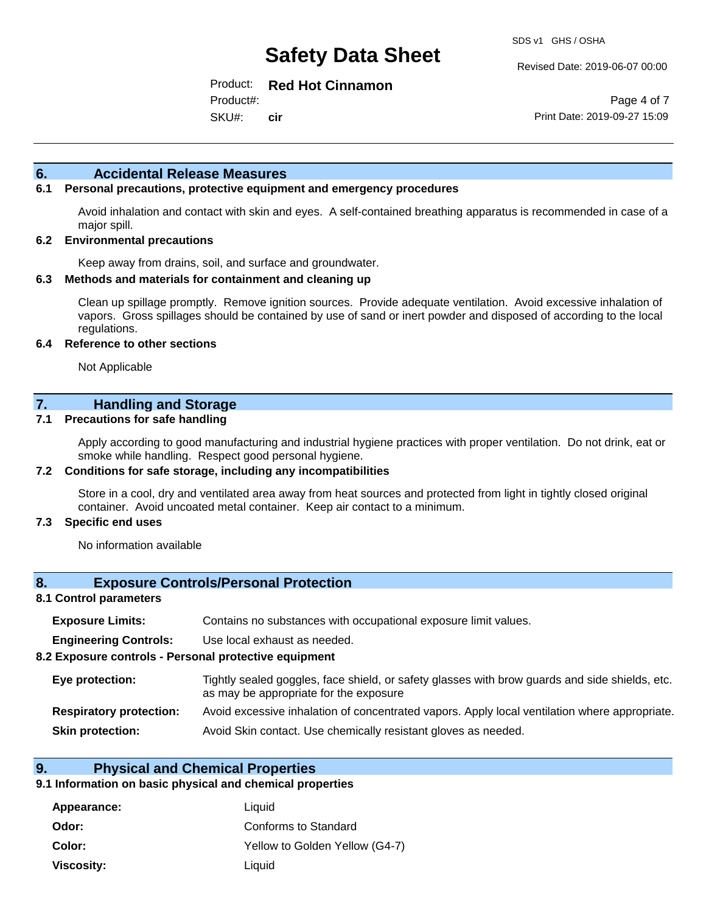Revised Date: 2019-06-07 00:00

Product: **Red Hot Cinnamon**

SKU#: Product#: **cir**

Page 4 of 7 Print Date: 2019-09-27 15:09

#### **6. Accidental Release Measures**

#### **6.1 Personal precautions, protective equipment and emergency procedures**

Avoid inhalation and contact with skin and eyes. A self-contained breathing apparatus is recommended in case of a major spill.

#### **6.2 Environmental precautions**

Keep away from drains, soil, and surface and groundwater.

#### **6.3 Methods and materials for containment and cleaning up**

Clean up spillage promptly. Remove ignition sources. Provide adequate ventilation. Avoid excessive inhalation of vapors. Gross spillages should be contained by use of sand or inert powder and disposed of according to the local regulations.

#### **6.4 Reference to other sections**

Not Applicable

### **7. Handling and Storage**

#### **7.1 Precautions for safe handling**

Apply according to good manufacturing and industrial hygiene practices with proper ventilation. Do not drink, eat or smoke while handling. Respect good personal hygiene.

#### **7.2 Conditions for safe storage, including any incompatibilities**

Store in a cool, dry and ventilated area away from heat sources and protected from light in tightly closed original container. Avoid uncoated metal container. Keep air contact to a minimum.

#### **7.3 Specific end uses**

No information available

#### **8. Exposure Controls/Personal Protection**

#### **8.1 Control parameters**

| <b>Exposure Limits:</b> | Contains no substances with occupational exposure limit values. |  |  |
|-------------------------|-----------------------------------------------------------------|--|--|
|-------------------------|-----------------------------------------------------------------|--|--|

**Engineering Controls:** Use local exhaust as needed.

#### **8.2 Exposure controls - Personal protective equipment**

| Eye protection:                | Tightly sealed goggles, face shield, or safety glasses with brow guards and side shields, etc.<br>as may be appropriate for the exposure |
|--------------------------------|------------------------------------------------------------------------------------------------------------------------------------------|
| <b>Respiratory protection:</b> | Avoid excessive inhalation of concentrated vapors. Apply local ventilation where appropriate.                                            |
| <b>Skin protection:</b>        | Avoid Skin contact. Use chemically resistant gloves as needed.                                                                           |

#### **9. Physical and Chemical Properties**

#### **9.1 Information on basic physical and chemical properties**

| Appearance:       | Liquid                         |
|-------------------|--------------------------------|
| Odor:             | Conforms to Standard           |
| Color:            | Yellow to Golden Yellow (G4-7) |
| <b>Viscosity:</b> | Liquid                         |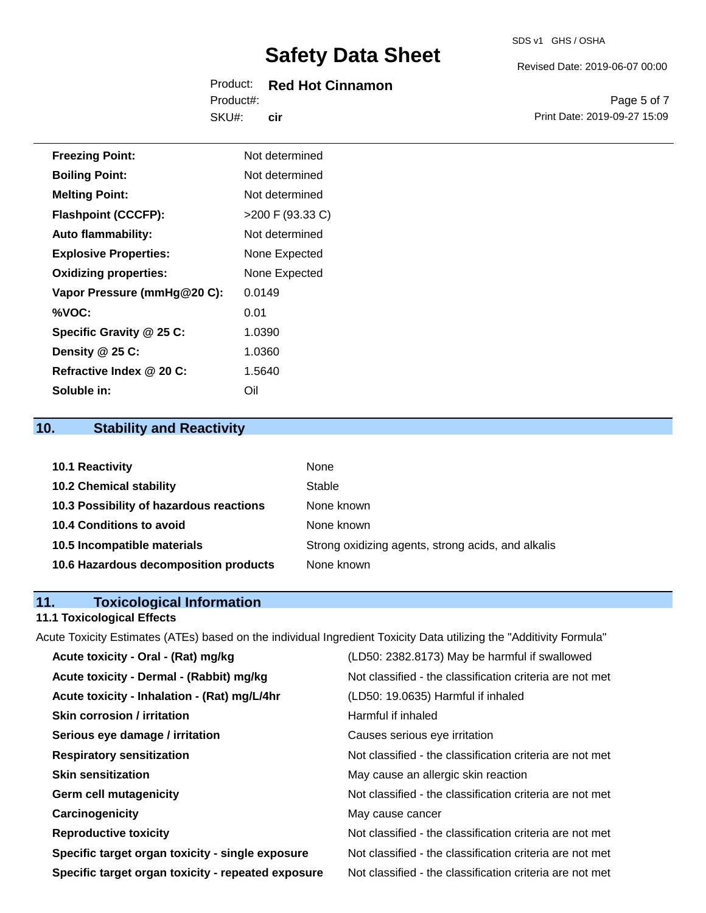# Product: **Red Hot Cinnamon**

SKU#: Product#: **cir** Revised Date: 2019-06-07 00:00

SDS v1 GHS / OSHA

Page 5 of 7 Print Date: 2019-09-27 15:09

| <b>Freezing Point:</b>       | Not determined     |
|------------------------------|--------------------|
| <b>Boiling Point:</b>        | Not determined     |
| <b>Melting Point:</b>        | Not determined     |
| <b>Flashpoint (CCCFP):</b>   | $>200$ F (93.33 C) |
| <b>Auto flammability:</b>    | Not determined     |
| <b>Explosive Properties:</b> | None Expected      |
| <b>Oxidizing properties:</b> | None Expected      |
| Vapor Pressure (mmHg@20 C):  | 0.0149             |
| %VOC:                        | 0.01               |
| Specific Gravity @ 25 C:     | 1.0390             |
| Density @ 25 C:              | 1.0360             |
| Refractive Index @ 20 C:     | 1.5640             |
|                              |                    |

# **10. Stability and Reactivity**

**Soluble in:** Oil

| <b>10.1 Reactivity</b>                  | None                                               |
|-----------------------------------------|----------------------------------------------------|
| <b>10.2 Chemical stability</b>          | Stable                                             |
| 10.3 Possibility of hazardous reactions | None known                                         |
| <b>10.4 Conditions to avoid</b>         | None known                                         |
| 10.5 Incompatible materials             | Strong oxidizing agents, strong acids, and alkalis |
| 10.6 Hazardous decomposition products   | None known                                         |

# **11. Toxicological Information**

# **11.1 Toxicological Effects**

Acute Toxicity Estimates (ATEs) based on the individual Ingredient Toxicity Data utilizing the "Additivity Formula"

| Acute toxicity - Oral - (Rat) mg/kg                | (LD50: 2382.8173) May be harmful if swallowed            |
|----------------------------------------------------|----------------------------------------------------------|
| Acute toxicity - Dermal - (Rabbit) mg/kg           | Not classified - the classification criteria are not met |
| Acute toxicity - Inhalation - (Rat) mg/L/4hr       | (LD50: 19.0635) Harmful if inhaled                       |
| <b>Skin corrosion / irritation</b>                 | Harmful if inhaled                                       |
| Serious eye damage / irritation                    | Causes serious eye irritation                            |
| <b>Respiratory sensitization</b>                   | Not classified - the classification criteria are not met |
| <b>Skin sensitization</b>                          | May cause an allergic skin reaction                      |
| <b>Germ cell mutagenicity</b>                      | Not classified - the classification criteria are not met |
| Carcinogenicity                                    | May cause cancer                                         |
| <b>Reproductive toxicity</b>                       | Not classified - the classification criteria are not met |
| Specific target organ toxicity - single exposure   | Not classified - the classification criteria are not met |
| Specific target organ toxicity - repeated exposure | Not classified - the classification criteria are not met |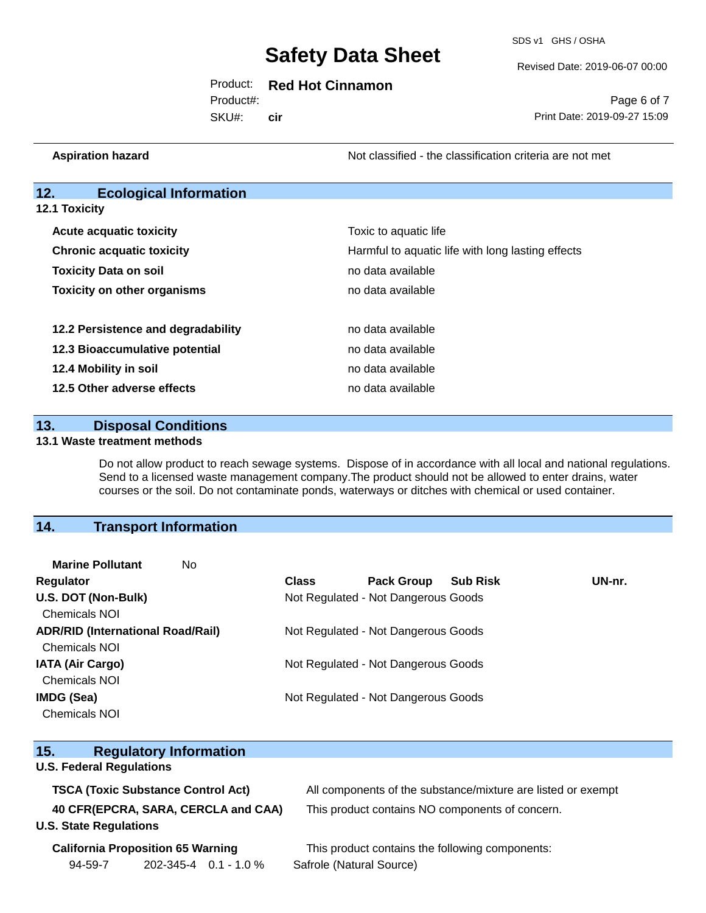SDS v1 GHS / OSHA

Revised Date: 2019-06-07 00:00

### Product: **Red Hot Cinnamon**

SKU#: Product#: **cir**

Page 6 of 7 Print Date: 2019-09-27 15:09

**Aspiration hazard Aspiration hazard Not classified - the classification criteria are not met** 

### **12. Ecological Information**

**12.1 Toxicity**

| <b>Acute acquatic toxicity</b>     | Toxic to aquatic life                             |
|------------------------------------|---------------------------------------------------|
| <b>Chronic acquatic toxicity</b>   | Harmful to aquatic life with long lasting effects |
| <b>Toxicity Data on soil</b>       | no data available                                 |
| <b>Toxicity on other organisms</b> | no data available                                 |
| 12.2 Persistence and degradability | no data available                                 |
| 12.3 Bioaccumulative potential     | no data available                                 |
| 12.4 Mobility in soil              | no data available                                 |
| 12.5 Other adverse effects         | no data available                                 |

**13. Disposal Conditions** 

#### **13.1 Waste treatment methods**

Do not allow product to reach sewage systems. Dispose of in accordance with all local and national regulations. Send to a licensed waste management company.The product should not be allowed to enter drains, water courses or the soil. Do not contaminate ponds, waterways or ditches with chemical or used container.

### **14. Transport Information**

| <b>Marine Pollutant</b><br>No.           |              |                                     |                 |        |
|------------------------------------------|--------------|-------------------------------------|-----------------|--------|
| <b>Regulator</b>                         | <b>Class</b> | <b>Pack Group</b>                   | <b>Sub Risk</b> | UN-nr. |
| U.S. DOT (Non-Bulk)                      |              | Not Regulated - Not Dangerous Goods |                 |        |
| <b>Chemicals NOI</b>                     |              |                                     |                 |        |
| <b>ADR/RID (International Road/Rail)</b> |              | Not Regulated - Not Dangerous Goods |                 |        |
| <b>Chemicals NOI</b>                     |              |                                     |                 |        |
| <b>IATA (Air Cargo)</b>                  |              | Not Regulated - Not Dangerous Goods |                 |        |
| <b>Chemicals NOI</b>                     |              |                                     |                 |        |
| IMDG (Sea)                               |              | Not Regulated - Not Dangerous Goods |                 |        |
| <b>Chemicals NOI</b>                     |              |                                     |                 |        |

| 15.                             | <b>Regulatory Information</b>             |                                                              |
|---------------------------------|-------------------------------------------|--------------------------------------------------------------|
| <b>U.S. Federal Regulations</b> |                                           |                                                              |
|                                 | <b>TSCA (Toxic Substance Control Act)</b> | All components of the substance/mixture are listed or exempt |
|                                 | 40 CFR(EPCRA, SARA, CERCLA and CAA)       | This product contains NO components of concern.              |
| <b>U.S. State Regulations</b>   |                                           |                                                              |
|                                 | <b>California Proposition 65 Warning</b>  | This product contains the following components:              |
| 94-59-7                         | $202 - 345 - 4$ 0.1 - 1.0 %               | Safrole (Natural Source)                                     |
|                                 |                                           |                                                              |